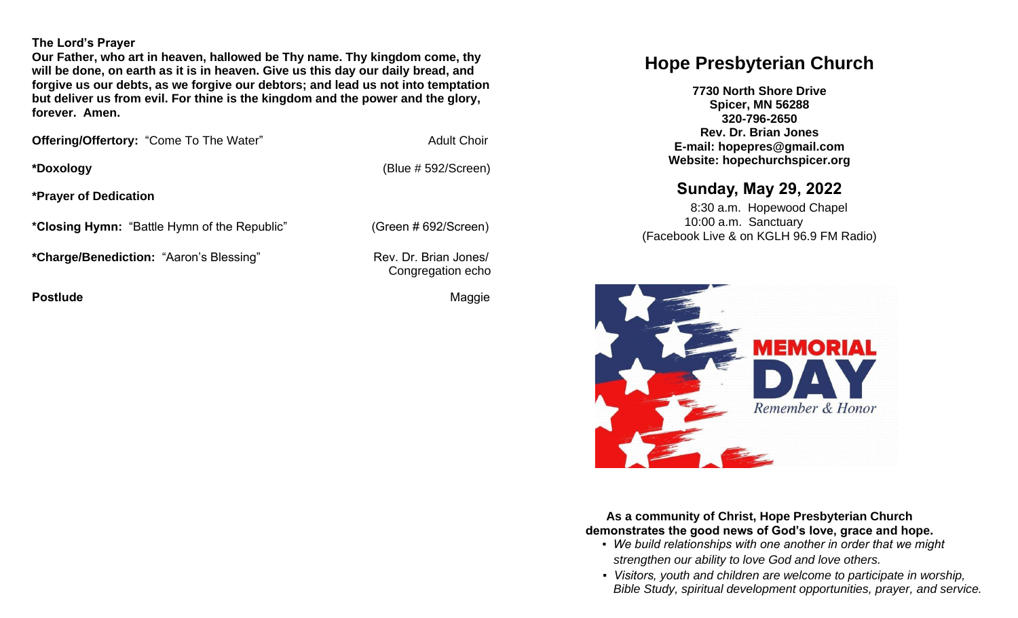## **The Lord's Prayer**

**Our Father, who art in heaven, hallowed be Thy name. Thy kingdom come, thy will be done, on earth as it is in heaven. Give us this day our daily bread, and forgive us our debts, as we forgive our debtors; and lead us not into temptation but deliver us from evil. For thine is the kingdom and the power and the glory, forever. Amen.** 

**Offering/Offertory: "Come To The Water" <b>Adult Choir** Adult Choir

**\*Doxology** (Blue # 592/Screen)

**\*Prayer of Dedication**

**\*Closing Hymn:** "Battle Hymn of the Republic" (Green # 692/Screen)

\*Charge/Benediction: "Aaron's Blessing" Rev. Dr. Brian Jones/

**Postlude Contract Contract Contract Contract Contract Contract Contract Contract Contract Contract Contract Contract Contract Contract Contract Contract Contract Contract Contract Contract Contract Contract Contract Contr** 

Congregation echo

# **Hope Presbyterian Church**

**7730 North Shore Drive Spicer, MN 56288 320-796-2650 Rev. Dr. Brian Jones E-mail: hopepres@gmail.com Website: hopechurchspicer.org**

# **Sunday, May 29, 2022**

 8:30 a.m. Hopewood Chapel 10:00 a.m. Sanctuary (Facebook Live & on KGLH 96.9 FM Radio)



**As a community of Christ, Hope Presbyterian Church demonstrates the good news of God's love, grace and hope.**

- *We build relationships with one another in order that we might strengthen our ability to love God and love others.*
- *Visitors, youth and children are welcome to participate in worship, Bible Study, spiritual development opportunities, prayer, and service.*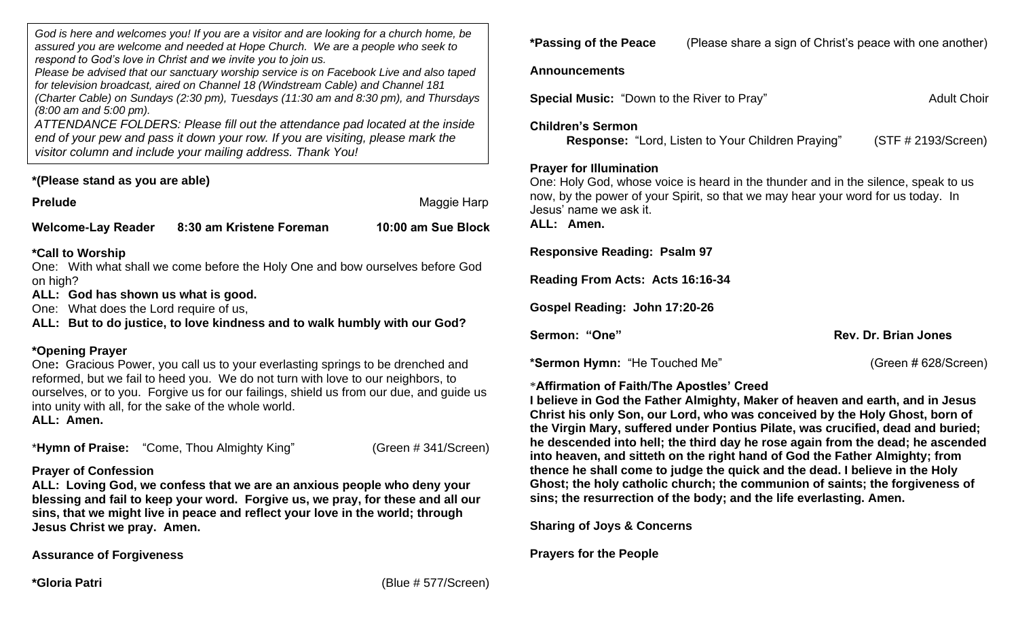*God is here and welcomes you! If you are a visitor and are looking for a church home, be assured you are welcome and needed at Hope Church. We are a people who seek to respond to God's love in Christ and we invite you to join us.*

*Please be advised that our sanctuary worship service is on Facebook Live and also taped for television broadcast, aired on Channel 18 (Windstream Cable) and Channel 181 (Charter Cable) on Sundays (2:30 pm), Tuesdays (11:30 am and 8:30 pm), and Thursdays (8:00 am and 5:00 pm).*

*ATTENDANCE FOLDERS: Please fill out the attendance pad located at the inside end of your pew and pass it down your row. If you are visiting, please mark the visitor column and include your mailing address. Thank You!*

# **\*(Please stand as you are able)**

**Prelude Maggie Harp Maggie Harp Maggie Harp Maggie Harp** 

**Welcome-Lay Reader 8:30 am Kristene Foreman 10:00 am Sue Block**

# **\*Call to Worship**

One: With what shall we come before the Holy One and bow ourselves before God on high?

**ALL: God has shown us what is good.** 

One: What does the Lord require of us,

**ALL: But to do justice, to love kindness and to walk humbly with our God?**

# **\*Opening Prayer**

One**:** Gracious Power, you call us to your everlasting springs to be drenched and reformed, but we fail to heed you. We do not turn with love to our neighbors, to ourselves, or to you. Forgive us for our failings, shield us from our due, and guide us into unity with all, for the sake of the whole world.

**ALL: Amen.**

\***Hymn of Praise:** "Come, Thou Almighty King" (Green # 341/Screen)

# **Prayer of Confession**

**ALL: Loving God, we confess that we are an anxious people who deny your blessing and fail to keep your word. Forgive us, we pray, for these and all our sins, that we might live in peace and reflect your love in the world; through Jesus Christ we pray. Amen.** 

**Assurance of Forgiveness**

| <b>I</b> assing the Leave Theory share a sign of childes peace with one another $\mu$                                                                                                                                                            |                                                          |                             |
|--------------------------------------------------------------------------------------------------------------------------------------------------------------------------------------------------------------------------------------------------|----------------------------------------------------------|-----------------------------|
| <b>Announcements</b>                                                                                                                                                                                                                             |                                                          |                             |
| <b>Special Music:</b> "Down to the River to Pray"                                                                                                                                                                                                |                                                          | <b>Adult Choir</b>          |
| <b>Children's Sermon</b>                                                                                                                                                                                                                         | <b>Response: "Lord, Listen to Your Children Praying"</b> | (STF # 2193/Screen)         |
| <b>Prayer for Illumination</b><br>One: Holy God, whose voice is heard in the thunder and in the silence, speak to us<br>now, by the power of your Spirit, so that we may hear your word for us today. In<br>Jesus' name we ask it.<br>ALL: Amen. |                                                          |                             |
| <b>Responsive Reading: Psalm 97</b>                                                                                                                                                                                                              |                                                          |                             |
| Reading From Acts: Acts 16:16-34                                                                                                                                                                                                                 |                                                          |                             |
| Gospel Reading: John 17:20-26                                                                                                                                                                                                                    |                                                          |                             |
| Sermon: "One"                                                                                                                                                                                                                                    |                                                          | <b>Rev. Dr. Brian Jones</b> |
| *Sermon Hymn: "He Touched Me"                                                                                                                                                                                                                    |                                                          | (Green # 628/Screen)        |
| *Affirmation of Faith/The Apostles' Creed                                                                                                                                                                                                        |                                                          |                             |

**\*Passing of the Peace** (Please share a sign of Christ's peace with one another)

\***Affirmation of Faith/The Apostles' Creed** 

**I believe in God the Father Almighty, Maker of heaven and earth, and in Jesus Christ his only Son, our Lord, who was conceived by the Holy Ghost, born of the Virgin Mary, suffered under Pontius Pilate, was crucified, dead and buried; he descended into hell; the third day he rose again from the dead; he ascended into heaven, and sitteth on the right hand of God the Father Almighty; from thence he shall come to judge the quick and the dead. I believe in the Holy Ghost; the holy catholic church; the communion of saints; the forgiveness of sins; the resurrection of the body; and the life everlasting. Amen.**

**Sharing of Joys & Concerns**

**Prayers for the People**

**\*Gloria Patri** (Blue # 577/Screen)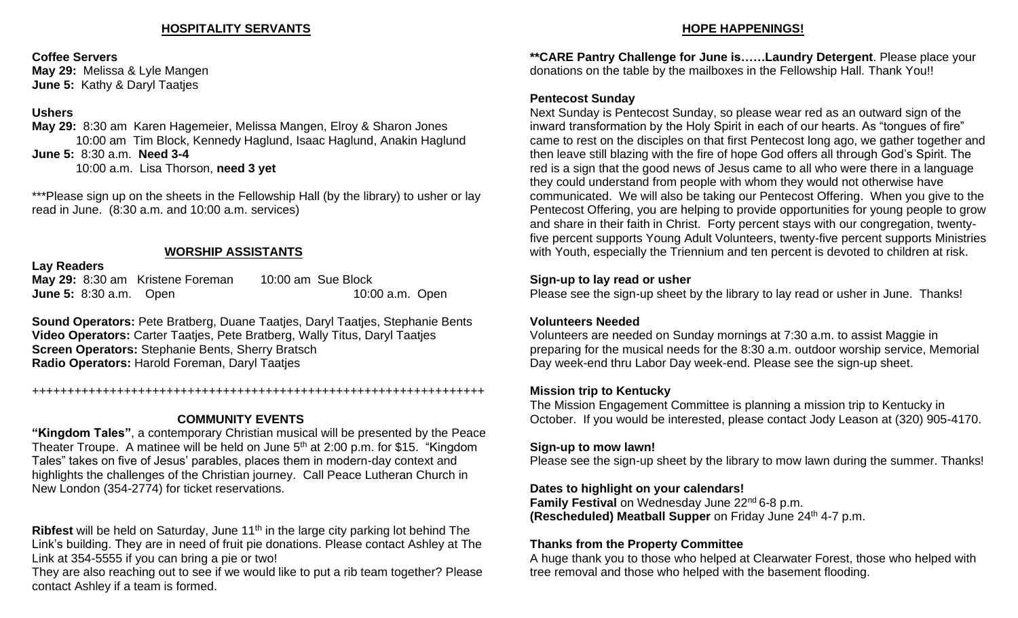#### **HOSPITALITY SERVANTS**

### **Coffee Servers**

**May 29:** Melissa & Lyle Mangen **June 5:** Kathy & Daryl Taatjes

#### **Ushers**

**May 29:** 8:30 am Karen Hagemeier, Melissa Mangen, Elroy & Sharon Jones 10:00 am Tim Block, Kennedy Haglund, Isaac Haglund, Anakin Haglund **June 5:** 8:30 a.m. **Need 3-4**

10:00 a.m. Lisa Thorson, **need 3 yet**

\*\*\*Please sign up on the sheets in the Fellowship Hall (by the library) to usher or lay read in June. (8:30 a.m. and 10:00 a.m. services)

#### **WORSHIP ASSISTANTS**

**Lay Readers** May 29: 8:30 am Kristene Foreman 10:00 am Sue Block **June 5:** 8:30 a.m. Open 10:00 a.m. Open

**Sound Operators:** Pete Bratberg, Duane Taatjes, Daryl Taatjes, Stephanie Bents **Video Operators:** Carter Taatjes, Pete Bratberg, Wally Titus, Daryl Taatjes **Screen Operators:** Stephanie Bents, Sherry Bratsch **Radio Operators:** Harold Foreman, Daryl Taatjes

#### ++++++++++++++++++++++++++++++++++++++++++++++++++++++++++++++++

### **COMMUNITY EVENTS**

**"Kingdom Tales"**, a contemporary Christian musical will be presented by the Peace Theater Troupe. A matinee will be held on June  $5<sup>th</sup>$  at 2:00 p.m. for \$15. "Kingdom Tales" takes on five of Jesus' parables, places them in modern-day context and highlights the challenges of the Christian journey. Call Peace Lutheran Church in New London (354-2774) for ticket reservations.

**Ribfest** will be held on Saturday, June 11<sup>th</sup> in the large city parking lot behind The Link's building. They are in need of fruit pie donations. Please contact Ashley at The Link at 354-5555 if you can bring a pie or two!

They are also reaching out to see if we would like to put a rib team together? Please contact Ashley if a team is formed.

#### **HOPE HAPPENINGS!**

**\*\*CARE Pantry Challenge for June is……Laundry Detergent**. Please place your donations on the table by the mailboxes in the Fellowship Hall. Thank You!!

## **Pentecost Sunday**

Next Sunday is Pentecost Sunday, so please wear red as an outward sign of the inward transformation by the Holy Spirit in each of our hearts. As "tongues of fire" came to rest on the disciples on that first Pentecost long ago, we gather together and then leave still blazing with the fire of hope God offers all through God's Spirit. The red is a sign that the good news of Jesus came to all who were there in a language they could understand from people with whom they would not otherwise have communicated. We will also be taking our Pentecost Offering. When you give to the Pentecost Offering, you are helping to provide opportunities for young people to grow and share in their faith in Christ. Forty percent stays with our congregation, twentyfive percent supports Young Adult Volunteers, twenty-five percent supports Ministries with Youth, especially the Triennium and ten percent is devoted to children at risk.

#### **Sign-up to lay read or usher**

Please see the sign-up sheet by the library to lay read or usher in June. Thanks!

#### **Volunteers Needed**

Volunteers are needed on Sunday mornings at 7:30 a.m. to assist Maggie in preparing for the musical needs for the 8:30 a.m. outdoor worship service, Memorial Day week-end thru Labor Day week-end. Please see the sign-up sheet.

### **Mission trip to Kentucky**

The Mission Engagement Committee is planning a mission trip to Kentucky in October. If you would be interested, please contact Jody Leason at (320) 905-4170.

#### **Sign-up to mow lawn!**

Please see the sign-up sheet by the library to mow lawn during the summer. Thanks!

### **Dates to highlight on your calendars!**

**Family Festival** on Wednesday June 22<sup>nd</sup> 6-8 p.m. **(Rescheduled) Meatball Supper** on Friday June 24<sup>th</sup> 4-7 p.m.

### **Thanks from the Property Committee**

A huge thank you to those who helped at Clearwater Forest, those who helped with tree removal and those who helped with the basement flooding.